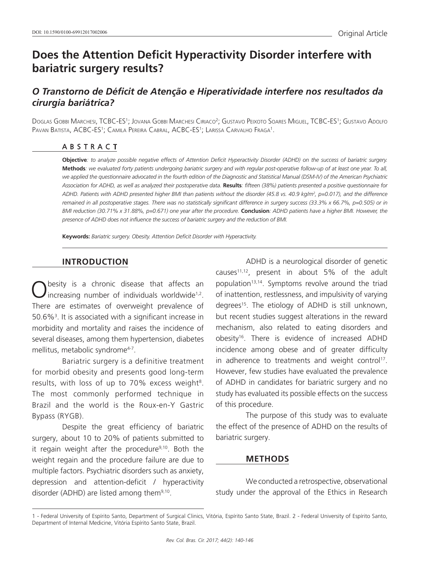# **Does the Attention Deficit Hyperactivity Disorder interfere with bariatric surgery results?**

# *O Transtorno de Déficit de Atenção e Hiperatividade interfere nos resultados da cirurgia bariátrica?*

Doglas Gobbi Marchesi, TCBC-ES'; Jovana Gobbi Marchesi Ciriaco<sup>2</sup>; Gustavo Peixoto Soares Miguel, TCBC-ES'; Gustavo Adolfo Pavan Batista, ACBC-ES<sup>1</sup>; Camila Pereira Cabral, ACBC-ES<sup>1</sup>; Larissa Carvalho Fraga<sup>1</sup>.

#### ABSTRACT

**Objective***: to analyze possible negative effects of Attention Deficit Hyperactivity Disorder (ADHD) on the success of bariatric surgery.*  **Methods***: we evaluated forty patients undergoing bariatric surgery and with regular post-operative follow-up of at least one year. To all, we applied the questionnaire advocated in the fourth edition of the Diagnostic and Statistical Manual (DSM-IV) of the American Psychiatric Association for ADHD, as well as analyzed their postoperative data.* **Results***: fifteen (38%) patients presented a positive questionnaire for ADHD. Patients with ADHD presented higher BMI than patients without the disorder (45.8 vs. 40.9 kg/m2 , p=0.017), and the difference remained in all postoperative stages. There was no statistically significant difference in surgery success (33.3% x 66.7%, p=0.505) or in BMI reduction (30.71% x 31.88%, p=0.671) one year after the procedure.* **Conclusion***: ADHD patients have a higher BMI. However, the presence of ADHD does not influence the success of bariatric surgery and the reduction of BMI.*

**Keywords:** *Bariatric surgery. Obesity. Attention Deficit Disorder with Hyperactivity.*

#### **INTRODUCTION**

Obesity is a chronic disease that affects an increasing number of individuals worldwide<sup>1,2</sup>. There are estimates of overweight prevalence of 50.6%3 . It is associated with a significant increase in morbidity and mortality and raises the incidence of several diseases, among them hypertension, diabetes mellitus, metabolic syndrome<sup>4-7</sup>.

Bariatric surgery is a definitive treatment for morbid obesity and presents good long-term results, with loss of up to 70% excess weight<sup>8</sup>. The most commonly performed technique in Brazil and the world is the Roux-en-Y Gastric Bypass (RYGB).

Despite the great efficiency of bariatric surgery, about 10 to 20% of patients submitted to it regain weight after the procedure<sup>9,10</sup>. Both the weight regain and the procedure failure are due to multiple factors. Psychiatric disorders such as anxiety, depression and attention-deficit / hyperactivity disorder (ADHD) are listed among them<sup>9,10</sup>.

ADHD is a neurological disorder of genetic causes11,12, present in about 5% of the adult population<sup>13,14</sup>. Symptoms revolve around the triad of inattention, restlessness, and impulsivity of varying degrees<sup>15</sup>. The etiology of ADHD is still unknown, but recent studies suggest alterations in the reward mechanism, also related to eating disorders and obesity16. There is evidence of increased ADHD incidence among obese and of greater difficulty in adherence to treatments and weight control<sup>17</sup>. However, few studies have evaluated the prevalence of ADHD in candidates for bariatric surgery and no study has evaluated its possible effects on the success of this procedure.

The purpose of this study was to evaluate the effect of the presence of ADHD on the results of bariatric surgery.

#### **METHODS**

We conducted a retrospective, observational study under the approval of the Ethics in Research

<sup>1 -</sup> Federal University of Espírito Santo, Department of Surgical Clinics, Vitória, Espírito Santo State, Brazil. 2 - Federal University of Espírito Santo, Department of Internal Medicine, Vitória Espírito Santo State, Brazil.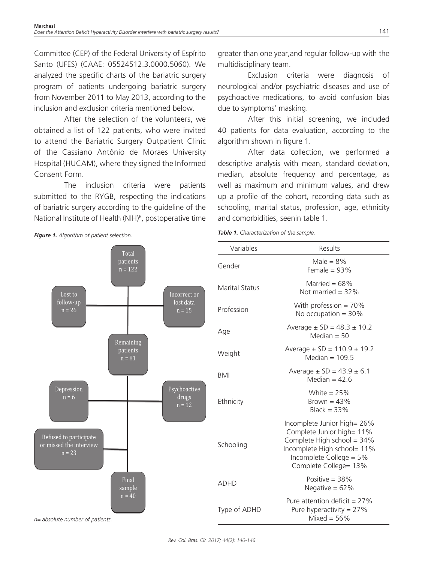Committee (CEP) of the Federal University of Espírito Santo (UFES) (CAAE: 05524512.3.0000.5060). We analyzed the specific charts of the bariatric surgery program of patients undergoing bariatric surgery from November 2011 to May 2013, according to the inclusion and exclusion criteria mentioned below.

After the selection of the volunteers, we obtained a list of 122 patients, who were invited to attend the Bariatric Surgery Outpatient Clinic of the Cassiano Antônio de Moraes University Hospital (HUCAM), where they signed the Informed Consent Form.

The inclusion criteria were patients submitted to the RYGB, respecting the indications of bariatric surgery according to the guideline of the National Institute of Health (NIH)<sup>6</sup>, postoperative time greater than one year,and regular follow-up with the multidisciplinary team.

Exclusion criteria were diagnosis of neurological and/or psychiatric diseases and use of psychoactive medications, to avoid confusion bias due to symptoms' masking.

After this initial screening, we included 40 patients for data evaluation, according to the algorithm shown in figure 1.

After data collection, we performed a descriptive analysis with mean, standard deviation, median, absolute frequency and percentage, as well as maximum and minimum values, and drew up a profile of the cohort, recording data such as schooling, marital status, profession, age, ethnicity and comorbidities, seenin table 1.

*Table 1. Characterization of the sample.*

| Variables             | Results                                                                                                                                                                   |
|-----------------------|---------------------------------------------------------------------------------------------------------------------------------------------------------------------------|
| Gender                | Male = $8\%$<br>Female = $93%$                                                                                                                                            |
| <b>Marital Status</b> | Married = $68\%$<br>Not married $=$ 32%                                                                                                                                   |
| Profession            | With profession = $70\%$<br>No occupation = $30\%$                                                                                                                        |
| Age                   | Average $\pm$ SD = 48.3 $\pm$ 10.2<br>Median $=$ 50                                                                                                                       |
| Weight                | Average $\pm$ SD = 110.9 $\pm$ 19.2<br>Median $= 109.5$                                                                                                                   |
| <b>BMI</b>            | Average $\pm$ SD = 43.9 $\pm$ 6.1<br>Median = $42.6$                                                                                                                      |
| Ethnicity             | White $= 25\%$<br>Brown = $43\%$<br>$Black = 33%$                                                                                                                         |
| Schooling             | Incomplete Junior high= 26%<br>Complete Junior high= 11%<br>Complete High school = 34%<br>Incomplete High school= 11%<br>Incomplete College = 5%<br>Complete College= 13% |
| ADHD                  | Positive $=$ 38%<br>Negative = $62%$                                                                                                                                      |
| Type of ADHD          | Pure attention deficit = $27\%$<br>Pure hyperactivity = $27%$<br>Mixed = $56\%$                                                                                           |





*Rev. Col. Bras. Cir. 2017; 44(2): 140-146*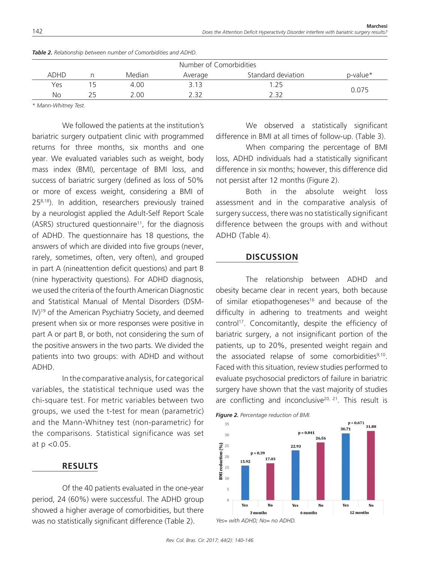| Number of Comorbidities |    |        |         |                    |          |  |  |  |
|-------------------------|----|--------|---------|--------------------|----------|--|--|--|
| <b>ADHD</b>             |    | Median | Average | Standard deviation | p-value* |  |  |  |
| Yes                     |    | 4.00   | 3.13    | .25                |          |  |  |  |
| No                      | つら | 2.00   | 2 32    | 2 32               | 0.075    |  |  |  |

*Table 2. Relationship between number of Comorbidities and ADHD.*

*\* Mann-Whitney Test.*

We followed the patients at the institution's bariatric surgery outpatient clinic with programmed returns for three months, six months and one year. We evaluated variables such as weight, body mass index (BMI), percentage of BMI loss, and success of bariatric surgery (defined as loss of 50% or more of excess weight, considering a BMI of 25<sup>8,18</sup>). In addition, researchers previously trained by a neurologist applied the Adult-Self Report Scale  $(ASRS)$  structured questionnaire<sup>11</sup>, for the diagnosis of ADHD. The questionnaire has 18 questions, the answers of which are divided into five groups (never, rarely, sometimes, often, very often), and grouped in part A (nineattention deficit questions) and part B (nine hyperactivity questions). For ADHD diagnosis, we used the criteria of the fourth American Diagnostic and Statistical Manual of Mental Disorders (DSM-IV)19 of the American Psychiatry Society, and deemed present when six or more responses were positive in part A or part B, or both, not considering the sum of the positive answers in the two parts. We divided the patients into two groups: with ADHD and without ADHD.

In the comparative analysis, for categorical variables, the statistical technique used was the chi-square test. For metric variables between two groups, we used the t-test for mean (parametric) and the Mann-Whitney test (non-parametric) for the comparisons. Statistical significance was set at p <0.05.

# **RESULTS**

Of the 40 patients evaluated in the one-year period, 24 (60%) were successful. The ADHD group showed a higher average of comorbidities, but there was no statistically significant difference (Table 2).

We observed a statistically significant difference in BMI at all times of follow-up. (Table 3).

When comparing the percentage of BMI loss, ADHD individuals had a statistically significant difference in six months; however, this difference did not persist after 12 months (Figure 2).

Both in the absolute weight loss assessment and in the comparative analysis of surgery success, there was no statistically significant difference between the groups with and without ADHD (Table 4).

#### **DISCUSSION**

The relationship between ADHD and obesity became clear in recent years, both because of similar etiopathogeneses<sup>16</sup> and because of the difficulty in adhering to treatments and weight control<sup>17</sup>. Concomitantly, despite the efficiency of bariatric surgery, a not insignificant portion of the patients, up to 20%, presented weight regain and the associated relapse of some comorbidities $9,10$ . Faced with this situation, review studies performed to evaluate psychosocial predictors of failure in bariatric surgery have shown that the vast majority of studies are conflicting and inconclusive<sup>20, 21</sup>. This result is



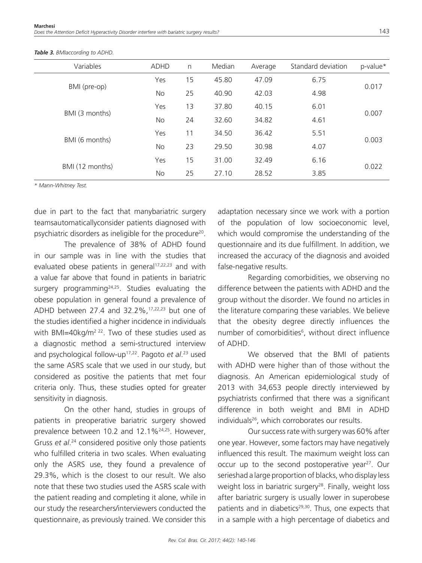| Variables       | <b>ADHD</b> | $\mathsf{n}$ | Median | Average | Standard deviation | p-value* |  |
|-----------------|-------------|--------------|--------|---------|--------------------|----------|--|
| BMI (pre-op)    | Yes         | 15           | 45.80  | 47.09   | 6.75               | 0.017    |  |
|                 | No          | 25           | 40.90  | 42.03   | 4.98               |          |  |
| BMI (3 months)  | Yes         | 13           | 37.80  | 40.15   | 6.01               | 0.007    |  |
|                 | No          | 24           | 32.60  | 34.82   | 4.61               |          |  |
| BMI (6 months)  | Yes         | 11           | 34.50  | 36.42   | 5.51               | 0.003    |  |
|                 | No          | 23           | 29.50  | 30.98   | 4.07               |          |  |
| BMI (12 months) | Yes         | 15           | 31.00  | 32.49   | 6.16               | 0.022    |  |
|                 | No          | 25           | 27.10  | 28.52   | 3.85               |          |  |

*Table 3. BMIaccording to ADHD.*

*\* Mann-Whitney Test.*

due in part to the fact that manybariatric surgery teamsautomaticallyconsider patients diagnosed with psychiatric disorders as ineligible for the procedure<sup>20</sup>.

The prevalence of 38% of ADHD found in our sample was in line with the studies that evaluated obese patients in general<sup>17,22,23</sup> and with a value far above that found in patients in bariatric surgery programming<sup>24,25</sup>. Studies evaluating the obese population in general found a prevalence of ADHD between 27.4 and 32.2%,17,22,23 but one of the studies identified a higher incidence in individuals with BMI=40kg/m<sup>2 22</sup>. Two of these studies used as a diagnostic method a semi-structured interview and psychological follow-up17,22. Pagoto *et al*. 23 used the same ASRS scale that we used in our study, but considered as positive the patients that met four criteria only. Thus, these studies opted for greater sensitivity in diagnosis.

On the other hand, studies in groups of patients in preoperative bariatric surgery showed prevalence between 10.2 and 12.1%<sup>24,25</sup>. However, Gruss *et al*. 24 considered positive only those patients who fulfilled criteria in two scales. When evaluating only the ASRS use, they found a prevalence of 29.3%, which is the closest to our result. We also note that these two studies used the ASRS scale with the patient reading and completing it alone, while in our study the researchers/interviewers conducted the questionnaire, as previously trained. We consider this

adaptation necessary since we work with a portion of the population of low socioeconomic level, which would compromise the understanding of the questionnaire and its due fulfillment. In addition, we increased the accuracy of the diagnosis and avoided false-negative results.

Regarding comorbidities, we observing no difference between the patients with ADHD and the group without the disorder. We found no articles in the literature comparing these variables. We believe that the obesity degree directly influences the number of comorbidities<sup>6</sup>, without direct influence of ADHD.

We observed that the BMI of patients with ADHD were higher than of those without the diagnosis. An American epidemiological study of 2013 with 34,653 people directly interviewed by psychiatrists confirmed that there was a significant difference in both weight and BMI in ADHD individuals<sup>26</sup>, which corroborates our results.

Our success rate with surgery was 60% after one year. However, some factors may have negatively influenced this result. The maximum weight loss can occur up to the second postoperative year<sup>27</sup>. Our serieshad a large proportion of blacks, who display less weight loss in bariatric surgery<sup>28</sup>. Finally, weight loss after bariatric surgery is usually lower in superobese patients and in diabetics $29,30$ . Thus, one expects that in a sample with a high percentage of diabetics and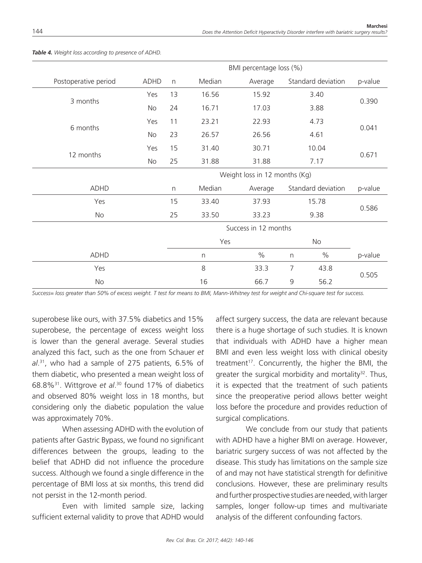|                      |      | BMI percentage loss (%)       |        |         |               |                    |         |  |
|----------------------|------|-------------------------------|--------|---------|---------------|--------------------|---------|--|
| Postoperative period | ADHD | n                             | Median | Average |               | Standard deviation | p-value |  |
| 3 months             | Yes  | 13                            | 16.56  | 15.92   |               | 3.40               |         |  |
|                      | No   | 24                            | 16.71  | 17.03   |               | 3.88               | 0.390   |  |
|                      | Yes  | 11                            | 23.21  | 22.93   |               | 4.73               | 0.041   |  |
| 6 months             | No   | 23                            | 26.57  | 26.56   |               | 4.61               |         |  |
|                      | Yes  | 15                            | 31.40  | 30.71   |               | 10.04              |         |  |
| 12 months            | No   | 25                            | 31.88  | 31.88   |               | 7.17               | 0.671   |  |
|                      |      | Weight loss in 12 months (Kg) |        |         |               |                    |         |  |
| <b>ADHD</b>          |      | n                             | Median | Average |               | Standard deviation | p-value |  |
| Yes                  |      | 15                            | 33.40  | 37.93   | 15.78<br>9.38 |                    |         |  |
| No                   |      | 25                            | 33.50  | 33.23   |               |                    | 0.586   |  |
|                      |      | Success in 12 months          |        |         |               |                    |         |  |
|                      |      | Yes                           |        | No      |               |                    |         |  |
| <b>ADHD</b>          |      |                               | n      | $\%$    | $\mathsf{n}$  | $\%$               | p-value |  |
| Yes                  |      |                               | 8      | 33.3    | 7             | 43.8               |         |  |
| No                   |      |                               | 16     | 66.7    | 9<br>56.2     |                    | 0.505   |  |

#### *Table 4. Weight loss according to presence of ADHD.*

*Success= loss greater than 50% of excess weight. T test for means to BMI, Mann-Whitney test for weight and Chi-square test for success.*

superobese like ours, with 37.5% diabetics and 15% superobese, the percentage of excess weight loss is lower than the general average. Several studies analyzed this fact, such as the one from Schauer *et al*. 31, who had a sample of 275 patients, 6.5% of them diabetic, who presented a mean weight loss of 68.8%31. Wittgrove *et al*. 30 found 17% of diabetics and observed 80% weight loss in 18 months, but considering only the diabetic population the value was approximately 70%.

When assessing ADHD with the evolution of patients after Gastric Bypass, we found no significant differences between the groups, leading to the belief that ADHD did not influence the procedure success. Although we found a single difference in the percentage of BMI loss at six months, this trend did not persist in the 12-month period.

Even with limited sample size, lacking sufficient external validity to prove that ADHD would

affect surgery success, the data are relevant because there is a huge shortage of such studies. It is known that individuals with ADHD have a higher mean BMI and even less weight loss with clinical obesity treatment<sup>17</sup>. Concurrently, the higher the BMI, the greater the surgical morbidity and mortality $32$ . Thus, it is expected that the treatment of such patients since the preoperative period allows better weight loss before the procedure and provides reduction of surgical complications.

We conclude from our study that patients with ADHD have a higher BMI on average. However, bariatric surgery success of was not affected by the disease. This study has limitations on the sample size of and may not have statistical strength for definitive conclusions. However, these are preliminary results and further prospective studies are needed, with larger samples, longer follow-up times and multivariate analysis of the different confounding factors.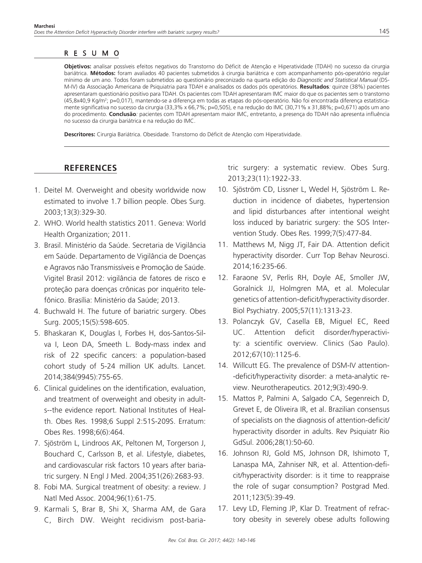# RESUMO

**Objetivos:** analisar possíveis efeitos negativos do Transtorno do Déficit de Atenção e Hiperatividade (TDAH) no sucesso da cirurgia bariátrica. **Métodos:** foram avaliados 40 pacientes submetidos à cirurgia bariátrica e com acompanhamento pós-operatório regular mínimo de um ano. Todos foram submetidos ao questionário preconizado na quarta edição do *Diagnostic and Statistical Manual* (DS-M-IV) da Associação Americana de Psiquiatria para TDAH e analisados os dados pós operatórios. **Resultados***:* quinze (38%) pacientes apresentaram questionário positivo para TDAH. Os pacientes com TDAH apresentaram IMC maior do que os pacientes sem o transtorno (45,8x40,9 Kg/m²; p=0,017), mantendo-se a diferença em todas as etapas do pós-operatório. Não foi encontrada diferença estatisticamente significativa no sucesso da cirurgia (33,3% x 66,7%; p=0,505), e na redução do IMC (30,71% x 31,88%; p=0,671) após um ano do procedimento. **Conclusão***:* pacientes com TDAH apresentam maior IMC, entretanto, a presença do TDAH não apresenta influência no sucesso da cirurgia bariátrica e na redução do IMC.

**Descritores:** Cirurgia Bariátrica. Obesidade. Transtorno do Déficit de Atenção com Hiperatividade.

# **REFERENCES**

- 1. Deitel M. Overweight and obesity worldwide now estimated to involve 1.7 billion people. Obes Surg. 2003;13(3):329-30.
- 2. WHO. World health statistics 2011. Geneva: World Health Organization; 2011.
- 3. Brasil. Ministério da Saúde. Secretaria de Vigilância em Saúde. Departamento de Vigilância de Doenças e Agravos não Transmissíveis e Promoção de Saúde. Vigitel Brasil 2012: vigilância de fatores de risco e proteção para doenças crônicas por inquérito telefônico. Brasília: Ministério da Saúde; 2013.
- 4. Buchwald H. The future of bariatric surgery. Obes Surg. 2005;15(5):598-605.
- 5. Bhaskaran K, Douglas I, Forbes H, dos-Santos-Silva I, Leon DA, Smeeth L. Body-mass index and risk of 22 specific cancers: a population-based cohort study of 5-24 million UK adults. Lancet. 2014;384(9945):755-65.
- 6. Clinical guidelines on the identification, evaluation, and treatment of overweight and obesity in adults--the evidence report. National Institutes of Health. Obes Res. 1998;6 Suppl 2:51S-209S. Erratum: Obes Res. 1998;6(6):464.
- 7. Sjöström L, Lindroos AK, Peltonen M, Torgerson J, Bouchard C, Carlsson B, et al. Lifestyle, diabetes, and cardiovascular risk factors 10 years after bariatric surgery. N Engl J Med. 2004;351(26):2683-93.
- 8. Fobi MA. Surgical treatment of obesity: a review. J Natl Med Assoc. 2004;96(1):61-75.
- 9. Karmali S, Brar B, Shi X, Sharma AM, de Gara C, Birch DW. Weight recidivism post-baria-

tric surgery: a systematic review. Obes Surg. 2013;23(11):1922-33.

- 10. Sjöström CD, Lissner L, Wedel H, Sjöström L. Reduction in incidence of diabetes, hypertension and lipid disturbances after intentional weight loss induced by bariatric surgery: the SOS Intervention Study. Obes Res. 1999;7(5):477-84.
- 11. Matthews M, Nigg JT, Fair DA. Attention deficit hyperactivity disorder. Curr Top Behav Neurosci. 2014;16:235-66.
- 12. Faraone SV, Perlis RH, Doyle AE, Smoller JW, Goralnick JJ, Holmgren MA, et al. Molecular genetics of attention-deficit/hyperactivity disorder. Biol Psychiatry. 2005;57(11):1313-23.
- 13. Polanczyk GV, Casella EB, Miguel EC, Reed UC. Attention deficit disorder/hyperactivity: a scientific overview. Clinics (Sao Paulo). 2012;67(10):1125-6.
- 14. Willcutt EG. The prevalence of DSM-IV attention- -deficit/hyperactivity disorder: a meta-analytic review. Neurotherapeutics. 2012;9(3):490-9.
- 15. Mattos P, Palmini A, Salgado CA, Segenreich D, Grevet E, de Oliveira IR, et al. Brazilian consensus of specialists on the diagnosis of attention-deficit/ hyperactivity disorder in adults. Rev Psiquiatr Rio GdSul. 2006;28(1):50-60.
- 16. Johnson RJ, Gold MS, Johnson DR, Ishimoto T, Lanaspa MA, Zahniser NR, et al. Attention-deficit/hyperactivity disorder: is it time to reappraise the role of sugar consumption? Postgrad Med. 2011;123(5):39-49.
- 17. Levy LD, Fleming JP, Klar D. Treatment of refractory obesity in severely obese adults following